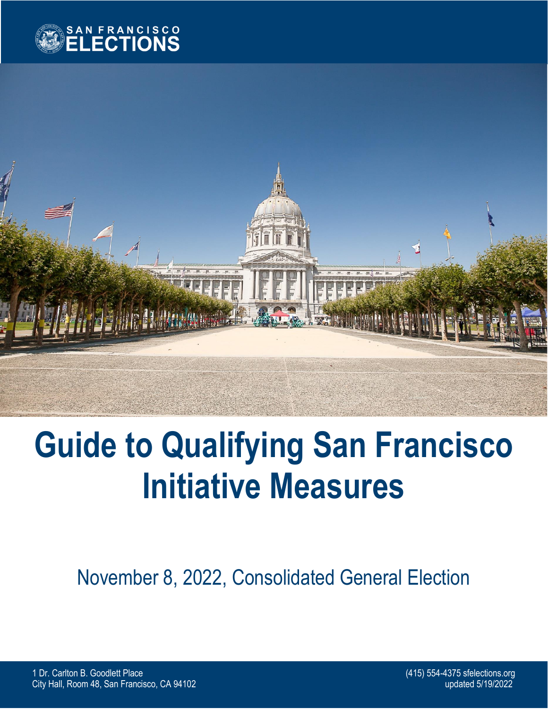



# **Guide to Qualifying San Francisco Initiative Measures**

November 8, 2022, Consolidated General Election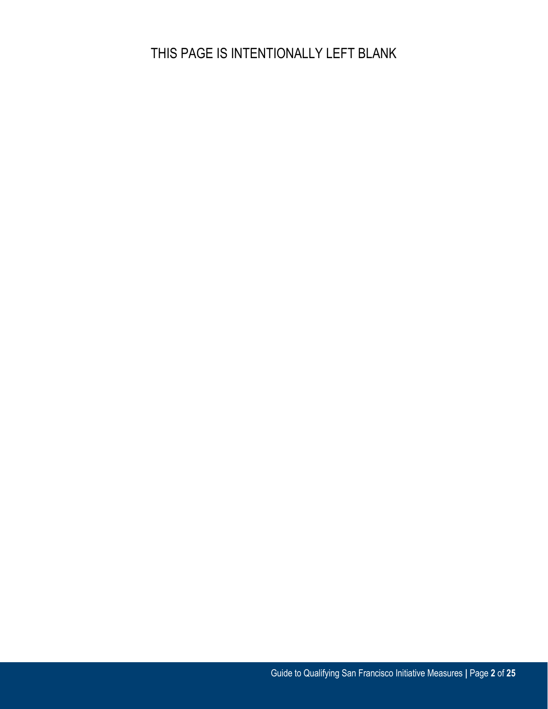# THIS PAGE IS INTENTIONALLY LEFT BLANK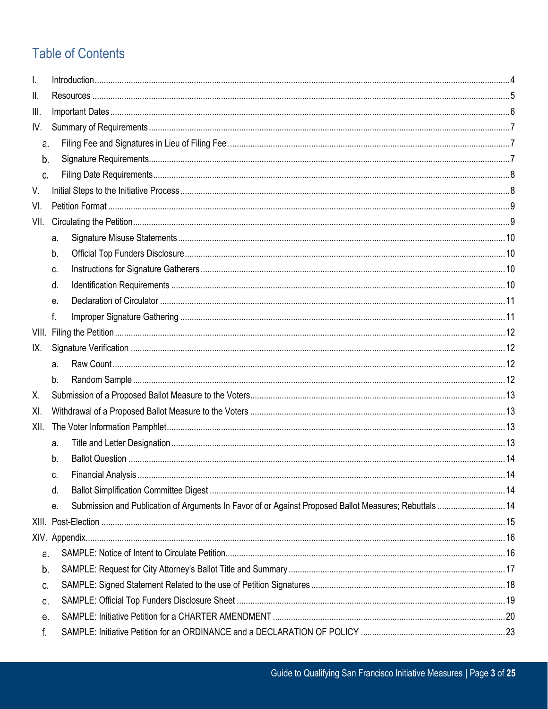# **Table of Contents**

| I.             |    |                                                                                                        |  |
|----------------|----|--------------------------------------------------------------------------------------------------------|--|
| Ш.             |    |                                                                                                        |  |
| III.           |    |                                                                                                        |  |
| IV.            |    |                                                                                                        |  |
| a.             |    |                                                                                                        |  |
| b.             |    |                                                                                                        |  |
| $\mathsf{C}$ . |    |                                                                                                        |  |
| V.             |    |                                                                                                        |  |
| VI.            |    |                                                                                                        |  |
| VII.           |    |                                                                                                        |  |
|                | a. |                                                                                                        |  |
|                | b. |                                                                                                        |  |
|                | C. |                                                                                                        |  |
|                | d. |                                                                                                        |  |
|                | е. |                                                                                                        |  |
|                | f. |                                                                                                        |  |
| VIII.          |    |                                                                                                        |  |
| IX.            |    |                                                                                                        |  |
|                | a. |                                                                                                        |  |
|                | b. |                                                                                                        |  |
| Х.             |    |                                                                                                        |  |
| XI.            |    |                                                                                                        |  |
| XII.           |    |                                                                                                        |  |
|                | a. |                                                                                                        |  |
|                | b. |                                                                                                        |  |
|                | C. |                                                                                                        |  |
|                | d. |                                                                                                        |  |
|                | е. | Submission and Publication of Arguments In Favor of or Against Proposed Ballot Measures; Rebuttals  14 |  |
|                |    |                                                                                                        |  |
|                |    |                                                                                                        |  |
| a.             |    |                                                                                                        |  |
| b.             |    |                                                                                                        |  |
| ${\mathbb C}.$ |    |                                                                                                        |  |
| d.             |    |                                                                                                        |  |
| е.             |    |                                                                                                        |  |
| f.             |    |                                                                                                        |  |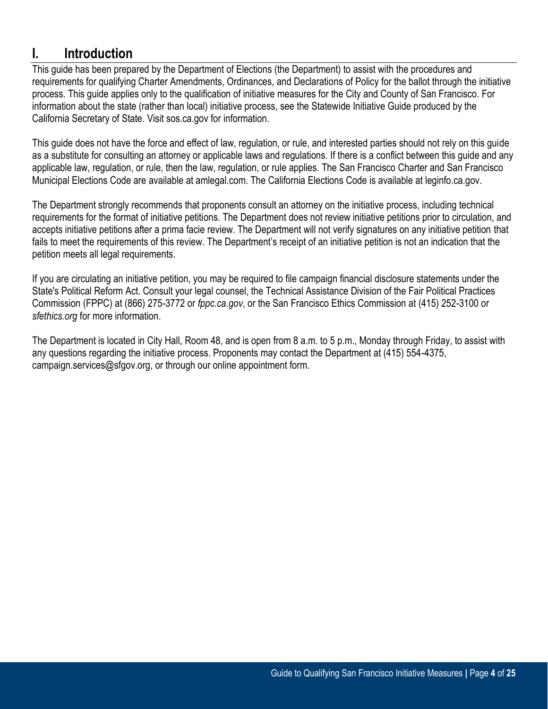## <span id="page-3-0"></span>**I. Introduction**

This guide has been prepared by the Department of Elections (the Department) to assist with the procedures and requirements for qualifying Charter Amendments, Ordinances, and Declarations of Policy for the ballot through the initiative process. This guide applies only to the qualification of initiative measures for the City and County of San Francisco. For information about the state (rather than local) initiative process, see the Statewide Initiative Guide produced by the California Secretary of State. Visit sos.ca.gov for information.

This guide does not have the force and effect of law, regulation, or rule, and interested parties should not rely on this guide as a substitute for consulting an attorney or applicable laws and regulations. If there is a conflict between this guide and any applicable law, regulation, or rule, then the law, regulation, or rule applies. The San Francisco Charter and San Francisco Municipal Elections Code are available at amlegal.com. The California Elections Code is available at leginfo.ca.gov.

The Department strongly recommends that proponents consult an attorney on the initiative process, including technical requirements for the format of initiative petitions. The Department does not review initiative petitions prior to circulation, and accepts initiative petitions after a prima facie review. The Department will not verify signatures on any initiative petition that fails to meet the requirements of this review. The Department's receipt of an initiative petition is not an indication that the petition meets all legal requirements.

If you are circulating an initiative petition, you may be required to file campaign financial disclosure statements under the State's Political Reform Act. Consult your legal counsel, the Technical Assistance Division of the Fair Political Practices Commission (FPPC) at (866) 275-3772 or *fppc.ca.gov*, or the San Francisco Ethics Commission at (415) 252-3100 or *sfethics.org* for more information.

The Department is located in City Hall, Room 48, and is open from 8 a.m. to 5 p.m., Monday through Friday, to assist with any questions regarding the initiative process. Proponents may contact the Department at (415) 554-4375, campaign.services@sfgov.org, or through our online appointment form.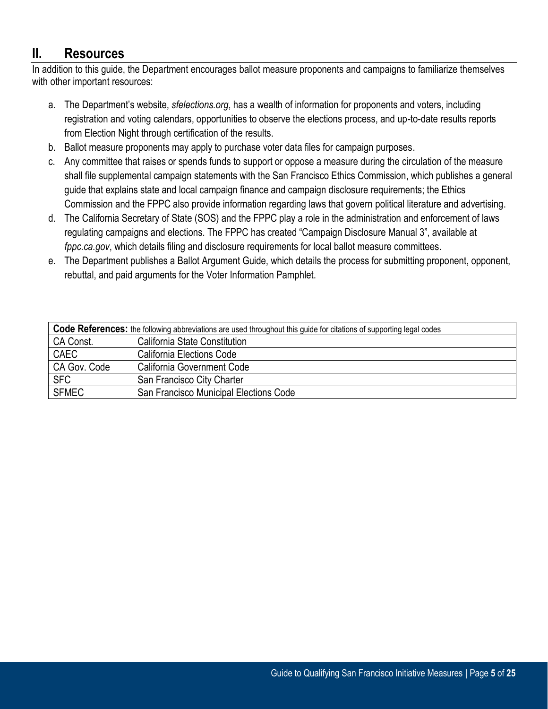## <span id="page-4-0"></span>**II. Resources**

In addition to this guide, the Department encourages ballot measure proponents and campaigns to familiarize themselves with other important resources:

- a. The Department's website, *sfelections.org*, has a wealth of information for proponents and voters, including registration and voting calendars, opportunities to observe the elections process, and up-to-date results reports from Election Night through certification of the results.
- b. Ballot measure proponents may apply to purchase voter data files for campaign purposes.
- c. Any committee that raises or spends funds to support or oppose a measure during the circulation of the measure shall file supplemental campaign statements with the San Francisco Ethics Commission, which publishes a general guide that explains state and local campaign finance and campaign disclosure requirements; the Ethics Commission and the FPPC also provide information regarding laws that govern political literature and advertising.
- d. The California Secretary of State (SOS) and the FPPC play a role in the administration and enforcement of laws regulating campaigns and elections. The FPPC has created "Campaign Disclosure Manual 3", available at *fppc.ca.gov*, which details filing and disclosure requirements for local ballot measure committees.
- e. The Department publishes a Ballot Argument Guide, which details the process for submitting proponent, opponent, rebuttal, and paid arguments for the Voter Information Pamphlet.

| Code References: the following abbreviations are used throughout this guide for citations of supporting legal codes |                                        |  |  |
|---------------------------------------------------------------------------------------------------------------------|----------------------------------------|--|--|
| CA Const.                                                                                                           | California State Constitution          |  |  |
| <b>CAEC</b>                                                                                                         | California Elections Code              |  |  |
| CA Gov. Code                                                                                                        | California Government Code             |  |  |
| <b>SFC</b>                                                                                                          | San Francisco City Charter             |  |  |
| <b>SFMEC</b>                                                                                                        | San Francisco Municipal Elections Code |  |  |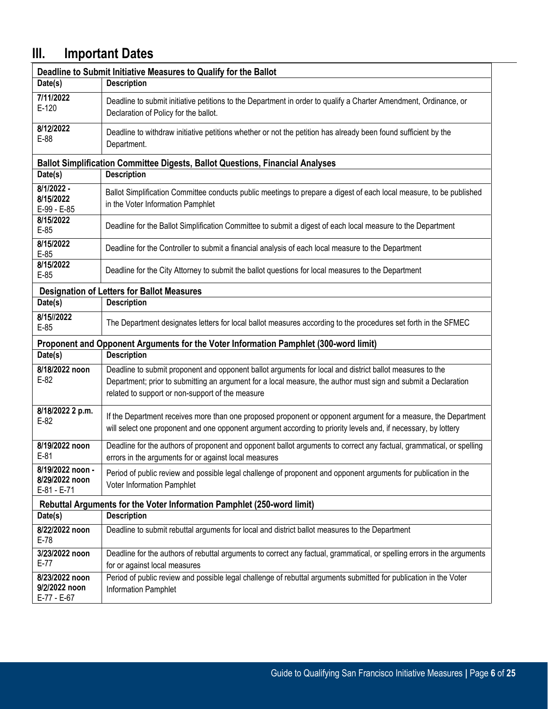# <span id="page-5-0"></span>**III. Important Dates**

| Deadline to Submit Initiative Measures to Qualify for the Ballot |                                                                                                                                                                                                                                                                                |  |  |  |  |
|------------------------------------------------------------------|--------------------------------------------------------------------------------------------------------------------------------------------------------------------------------------------------------------------------------------------------------------------------------|--|--|--|--|
| Date(s)                                                          | <b>Description</b>                                                                                                                                                                                                                                                             |  |  |  |  |
| 7/11/2022<br>$E-120$                                             | Deadline to submit initiative petitions to the Department in order to qualify a Charter Amendment, Ordinance, or<br>Declaration of Policy for the ballot.                                                                                                                      |  |  |  |  |
| 8/12/2022<br>E-88                                                | Deadline to withdraw initiative petitions whether or not the petition has already been found sufficient by the<br>Department.                                                                                                                                                  |  |  |  |  |
|                                                                  | Ballot Simplification Committee Digests, Ballot Questions, Financial Analyses                                                                                                                                                                                                  |  |  |  |  |
| Date(s)                                                          | <b>Description</b>                                                                                                                                                                                                                                                             |  |  |  |  |
| 8/1/2022 -<br>8/15/2022<br>E-99 - E-85                           | Ballot Simplification Committee conducts public meetings to prepare a digest of each local measure, to be published<br>in the Voter Information Pamphlet                                                                                                                       |  |  |  |  |
| 8/15/2022<br>$E-85$                                              | Deadline for the Ballot Simplification Committee to submit a digest of each local measure to the Department                                                                                                                                                                    |  |  |  |  |
| 8/15/2022<br>$E-85$                                              | Deadline for the Controller to submit a financial analysis of each local measure to the Department                                                                                                                                                                             |  |  |  |  |
| 8/15/2022<br>$E-85$                                              | Deadline for the City Attorney to submit the ballot questions for local measures to the Department                                                                                                                                                                             |  |  |  |  |
|                                                                  | <b>Designation of Letters for Ballot Measures</b>                                                                                                                                                                                                                              |  |  |  |  |
| Date(s)                                                          | <b>Description</b>                                                                                                                                                                                                                                                             |  |  |  |  |
| 8/15//2022<br>$E-85$                                             | The Department designates letters for local ballot measures according to the procedures set forth in the SFMEC                                                                                                                                                                 |  |  |  |  |
|                                                                  | Proponent and Opponent Arguments for the Voter Information Pamphlet (300-word limit)                                                                                                                                                                                           |  |  |  |  |
| Date(s)                                                          | <b>Description</b>                                                                                                                                                                                                                                                             |  |  |  |  |
| 8/18/2022 noon<br>$E-82$                                         | Deadline to submit proponent and opponent ballot arguments for local and district ballot measures to the<br>Department; prior to submitting an argument for a local measure, the author must sign and submit a Declaration<br>related to support or non-support of the measure |  |  |  |  |
| 8/18/2022 2 p.m.<br>$E-82$                                       | If the Department receives more than one proposed proponent or opponent argument for a measure, the Department<br>will select one proponent and one opponent argument according to priority levels and, if necessary, by lottery                                               |  |  |  |  |
| 8/19/2022 noon<br>$E-81$                                         | Deadline for the authors of proponent and opponent ballot arguments to correct any factual, grammatical, or spelling<br>errors in the arguments for or against local measures                                                                                                  |  |  |  |  |
| 8/19/2022 noon -<br>8/29/2022 noon<br>E-81 - E-71                | Period of public review and possible legal challenge of proponent and opponent arguments for publication in the<br>Voter Information Pamphlet                                                                                                                                  |  |  |  |  |
|                                                                  | Rebuttal Arguments for the Voter Information Pamphlet (250-word limit)                                                                                                                                                                                                         |  |  |  |  |
| Date(s)                                                          | <b>Description</b>                                                                                                                                                                                                                                                             |  |  |  |  |
| 8/22/2022 noon<br>E-78                                           | Deadline to submit rebuttal arguments for local and district ballot measures to the Department                                                                                                                                                                                 |  |  |  |  |
| 3/23/2022 noon<br>$E-77$                                         | Deadline for the authors of rebuttal arguments to correct any factual, grammatical, or spelling errors in the arguments<br>for or against local measures                                                                                                                       |  |  |  |  |
| 8/23/2022 noon<br>9/2/2022 noon<br>E-77 - E-67                   | Period of public review and possible legal challenge of rebuttal arguments submitted for publication in the Voter<br>Information Pamphlet                                                                                                                                      |  |  |  |  |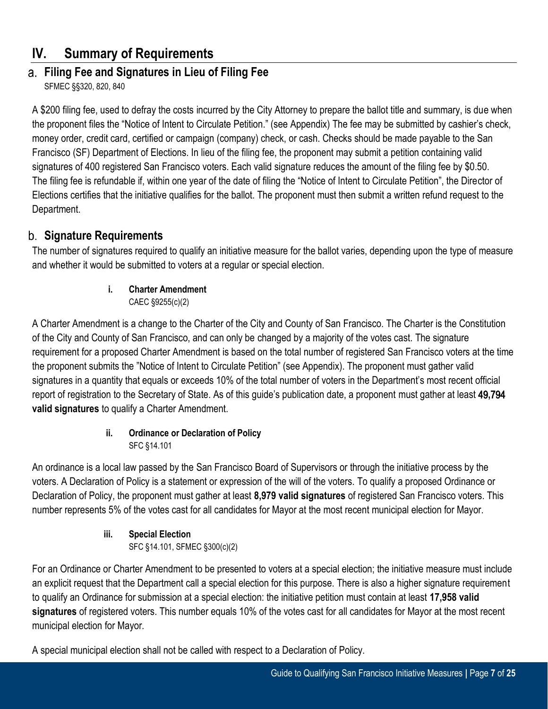# <span id="page-6-0"></span>**IV. Summary of Requirements**

# <span id="page-6-1"></span>**Filing Fee and Signatures in Lieu of Filing Fee**

SFMEC §§320, 820, 840

A \$200 filing fee, used to defray the costs incurred by the City Attorney to prepare the ballot title and summary, is due when the proponent files the "Notice of Intent to Circulate Petition." (see Appendix) The fee may be submitted by cashier's check, money order, credit card, certified or campaign (company) check, or cash. Checks should be made payable to the San Francisco (SF) Department of Elections. In lieu of the filing fee, the proponent may submit a petition containing valid signatures of 400 registered San Francisco voters. Each valid signature reduces the amount of the filing fee by \$0.50. The filing fee is refundable if, within one year of the date of filing the "Notice of Intent to Circulate Petition", the Director of Elections certifies that the initiative qualifies for the ballot. The proponent must then submit a written refund request to the Department.

## <span id="page-6-2"></span>**Signature Requirements**

The number of signatures required to qualify an initiative measure for the ballot varies, depending upon the type of measure and whether it would be submitted to voters at a regular or special election.

## **i. Charter Amendment**

CAEC §9255(c)(2)

A Charter Amendment is a change to the Charter of the City and County of San Francisco. The Charter is the Constitution of the City and County of San Francisco, and can only be changed by a majority of the votes cast. The signature requirement for a proposed Charter Amendment is based on the total number of registered San Francisco voters at the time the proponent submits the "Notice of Intent to Circulate Petition" (see Appendix). The proponent must gather valid signatures in a quantity that equals or exceeds 10% of the total number of voters in the Department's most recent official report of registration to the Secretary of State. As of this guide's publication date, a proponent must gather at least 49**,**794 **valid signatures** to qualify a Charter Amendment.

## **ii. Ordinance or Declaration of Policy** SFC §14.101

An ordinance is a local law passed by the San Francisco Board of Supervisors or through the initiative process by the voters. A Declaration of Policy is a statement or expression of the will of the voters. To qualify a proposed Ordinance or Declaration of Policy, the proponent must gather at least **8,979 valid signatures** of registered San Francisco voters. This number represents 5% of the votes cast for all candidates for Mayor at the most recent municipal election for Mayor.

## **iii. Special Election**

SFC §14.101, SFMEC §300(c)(2)

For an Ordinance or Charter Amendment to be presented to voters at a special election; the initiative measure must include an explicit request that the Department call a special election for this purpose. There is also a higher signature requirement to qualify an Ordinance for submission at a special election: the initiative petition must contain at least **17,958 valid signatures** of registered voters. This number equals 10% of the votes cast for all candidates for Mayor at the most recent municipal election for Mayor.

A special municipal election shall not be called with respect to a Declaration of Policy.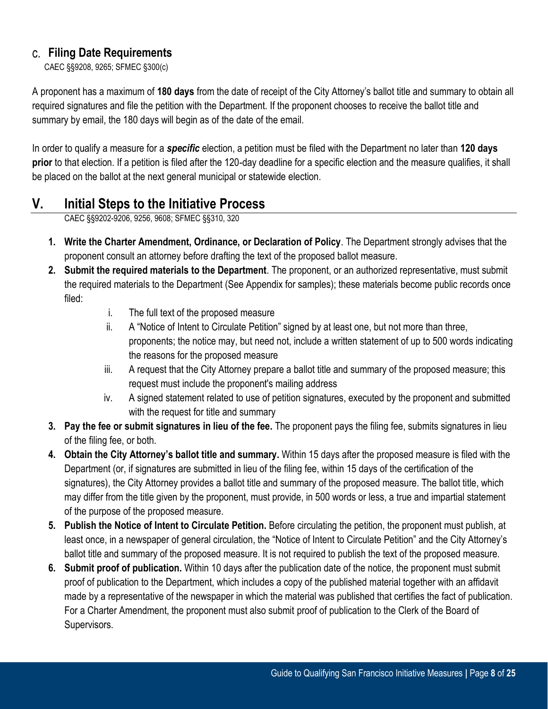## <span id="page-7-0"></span>**Filing Date Requirements**

CAEC §§9208, 9265; SFMEC §300(c)

A proponent has a maximum of **180 days** from the date of receipt of the City Attorney's ballot title and summary to obtain all required signatures and file the petition with the Department. If the proponent chooses to receive the ballot title and summary by email, the 180 days will begin as of the date of the email.

In order to qualify a measure for a *specific* election, a petition must be filed with the Department no later than **120 days prior** to that election. If a petition is filed after the 120-day deadline for a specific election and the measure qualifies, it shall be placed on the ballot at the next general municipal or statewide election.

## <span id="page-7-1"></span>**V. Initial Steps to the Initiative Process**

CAEC §§9202-9206, 9256, 9608; SFMEC §§310, 320

- **1. Write the Charter Amendment, Ordinance, or Declaration of Policy**. The Department strongly advises that the proponent consult an attorney before drafting the text of the proposed ballot measure.
- **2. Submit the required materials to the Department**. The proponent, or an authorized representative, must submit the required materials to the Department (See Appendix for samples); these materials become public records once filed:
	- i. The full text of the proposed measure
	- ii. A "Notice of Intent to Circulate Petition" signed by at least one, but not more than three, proponents; the notice may, but need not, include a written statement of up to 500 words indicating the reasons for the proposed measure
	- iii. A request that the City Attorney prepare a ballot title and summary of the proposed measure; this request must include the proponent's mailing address
	- iv. A signed statement related to use of petition signatures, executed by the proponent and submitted with the request for title and summary
- **3. Pay the fee or submit signatures in lieu of the fee.** The proponent pays the filing fee, submits signatures in lieu of the filing fee, or both.
- **4. Obtain the City Attorney's ballot title and summary.** Within 15 days after the proposed measure is filed with the Department (or, if signatures are submitted in lieu of the filing fee, within 15 days of the certification of the signatures), the City Attorney provides a ballot title and summary of the proposed measure. The ballot title, which may differ from the title given by the proponent, must provide, in 500 words or less, a true and impartial statement of the purpose of the proposed measure.
- **5. Publish the Notice of Intent to Circulate Petition.** Before circulating the petition, the proponent must publish, at least once, in a newspaper of general circulation, the "Notice of Intent to Circulate Petition" and the City Attorney's ballot title and summary of the proposed measure. It is not required to publish the text of the proposed measure.
- **6. Submit proof of publication.** Within 10 days after the publication date of the notice, the proponent must submit proof of publication to the Department, which includes a copy of the published material together with an affidavit made by a representative of the newspaper in which the material was published that certifies the fact of publication. For a Charter Amendment, the proponent must also submit proof of publication to the Clerk of the Board of Supervisors.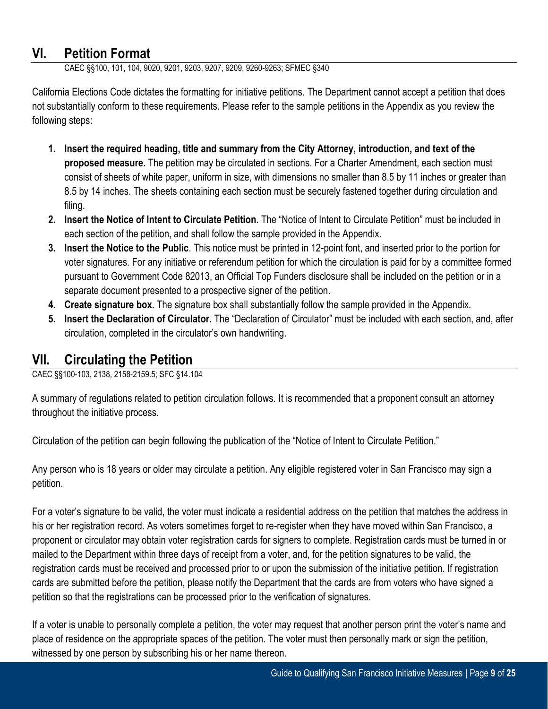# <span id="page-8-0"></span>**VI. Petition Format**

CAEC §§100, 101, 104, 9020, 9201, 9203, 9207, 9209, 9260-9263; SFMEC §340

California Elections Code dictates the formatting for initiative petitions. The Department cannot accept a petition that does not substantially conform to these requirements. Please refer to the sample petitions in the Appendix as you review the following steps:

- **1. Insert the required heading, title and summary from the City Attorney, introduction, and text of the proposed measure.** The petition may be circulated in sections. For a Charter Amendment, each section must consist of sheets of white paper, uniform in size, with dimensions no smaller than 8.5 by 11 inches or greater than 8.5 by 14 inches. The sheets containing each section must be securely fastened together during circulation and filing.
- **2. Insert the Notice of Intent to Circulate Petition.** The "Notice of Intent to Circulate Petition" must be included in each section of the petition, and shall follow the sample provided in the Appendix.
- **3. Insert the Notice to the Public**. This notice must be printed in 12-point font, and inserted prior to the portion for voter signatures. For any initiative or referendum petition for which the circulation is paid for by a committee formed pursuant to Government Code 82013, an Official Top Funders disclosure shall be included on the petition or in a separate document presented to a prospective signer of the petition.
- **4. Create signature box.** The signature box shall substantially follow the sample provided in the Appendix.
- **5. Insert the Declaration of Circulator.** The "Declaration of Circulator" must be included with each section, and, after circulation, completed in the circulator's own handwriting.

# <span id="page-8-1"></span>**VII. Circulating the Petition**

CAEC §§100-103, 2138, 2158-2159.5; SFC §14.104

A summary of regulations related to petition circulation follows. It is recommended that a proponent consult an attorney throughout the initiative process.

Circulation of the petition can begin following the publication of the "Notice of Intent to Circulate Petition."

Any person who is 18 years or older may circulate a petition. Any eligible registered voter in San Francisco may sign a petition.

For a voter's signature to be valid, the voter must indicate a residential address on the petition that matches the address in his or her registration record. As voters sometimes forget to re-register when they have moved within San Francisco, a proponent or circulator may obtain voter registration cards for signers to complete. Registration cards must be turned in or mailed to the Department within three days of receipt from a voter, and, for the petition signatures to be valid, the registration cards must be received and processed prior to or upon the submission of the initiative petition. If registration cards are submitted before the petition, please notify the Department that the cards are from voters who have signed a petition so that the registrations can be processed prior to the verification of signatures.

If a voter is unable to personally complete a petition, the voter may request that another person print the voter's name and place of residence on the appropriate spaces of the petition. The voter must then personally mark or sign the petition, witnessed by one person by subscribing his or her name thereon.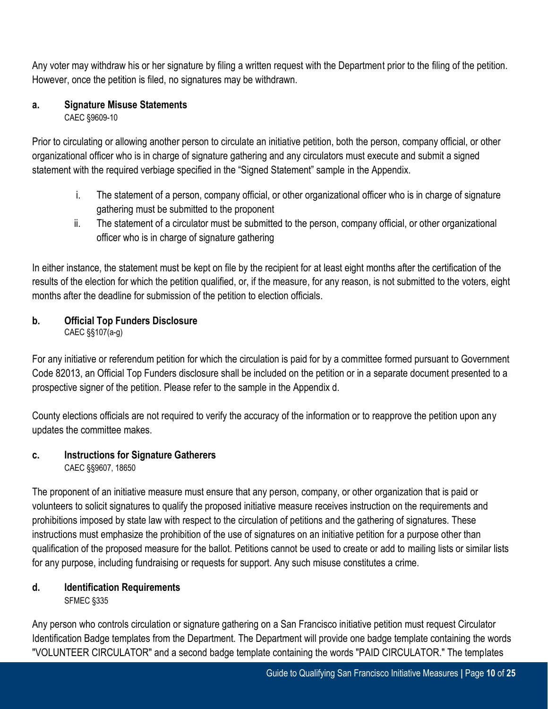Any voter may withdraw his or her signature by filing a written request with the Department prior to the filing of the petition. However, once the petition is filed, no signatures may be withdrawn.

## <span id="page-9-0"></span>**a. Signature Misuse Statements** CAEC §9609-10

Prior to circulating or allowing another person to circulate an initiative petition, both the person, company official, or other organizational officer who is in charge of signature gathering and any circulators must execute and submit a signed statement with the required verbiage specified in the "Signed Statement" sample in the Appendix.

- i. The statement of a person, company official, or other organizational officer who is in charge of signature gathering must be submitted to the proponent
- ii. The statement of a circulator must be submitted to the person, company official, or other organizational officer who is in charge of signature gathering

In either instance, the statement must be kept on file by the recipient for at least eight months after the certification of the results of the election for which the petition qualified, or, if the measure, for any reason, is not submitted to the voters, eight months after the deadline for submission of the petition to election officials.

## <span id="page-9-1"></span>**b. Official Top Funders Disclosure** CAEC §§107(a-g)

For any initiative or referendum petition for which the circulation is paid for by a committee formed pursuant to Government Code 82013, an Official Top Funders disclosure shall be included on the petition or in a separate document presented to a prospective signer of the petition. Please refer to the sample in the Appendix d.

County elections officials are not required to verify the accuracy of the information or to reapprove the petition upon any updates the committee makes.

# <span id="page-9-2"></span>**c. Instructions for Signature Gatherers**

CAEC §§9607, 18650

The proponent of an initiative measure must ensure that any person, company, or other organization that is paid or volunteers to solicit signatures to qualify the proposed initiative measure receives instruction on the requirements and prohibitions imposed by state law with respect to the circulation of petitions and the gathering of signatures. These instructions must emphasize the prohibition of the use of signatures on an initiative petition for a purpose other than qualification of the proposed measure for the ballot. Petitions cannot be used to create or add to mailing lists or similar lists for any purpose, including fundraising or requests for support. Any such misuse constitutes a crime.

## <span id="page-9-3"></span>**d. Identification Requirements** SFMEC §335

Any person who controls circulation or signature gathering on a San Francisco initiative petition must request Circulator Identification Badge templates from the Department. The Department will provide one badge template containing the words "VOLUNTEER CIRCULATOR" and a second badge template containing the words "PAID CIRCULATOR." The templates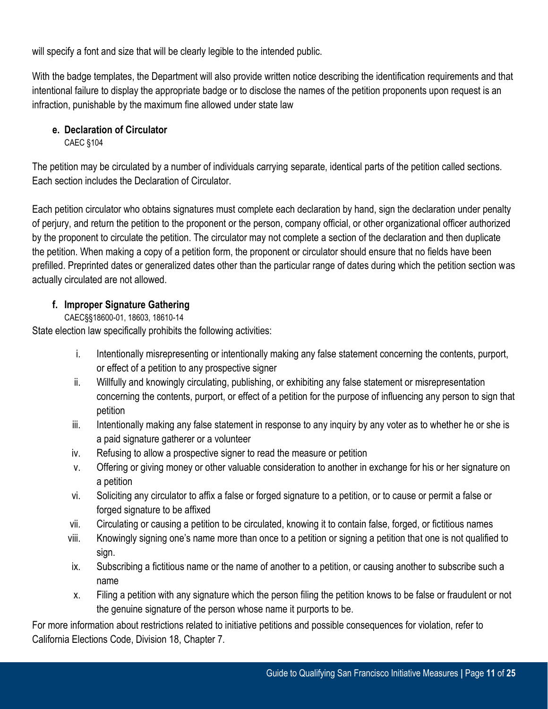will specify a font and size that will be clearly legible to the intended public.

With the badge templates, the Department will also provide written notice describing the identification requirements and that intentional failure to display the appropriate badge or to disclose the names of the petition proponents upon request is an infraction, punishable by the maximum fine allowed under state law

## <span id="page-10-0"></span>**e. Declaration of Circulator**

CAEC §104

The petition may be circulated by a number of individuals carrying separate, identical parts of the petition called sections. Each section includes the Declaration of Circulator.

Each petition circulator who obtains signatures must complete each declaration by hand, sign the declaration under penalty of perjury, and return the petition to the proponent or the person, company official, or other organizational officer authorized by the proponent to circulate the petition. The circulator may not complete a section of the declaration and then duplicate the petition. When making a copy of a petition form, the proponent or circulator should ensure that no fields have been prefilled. Preprinted dates or generalized dates other than the particular range of dates during which the petition section was actually circulated are not allowed.

## <span id="page-10-1"></span>**f. Improper Signature Gathering**

CAEC§§18600-01, 18603, 18610-14

State election law specifically prohibits the following activities:

- i. Intentionally misrepresenting or intentionally making any false statement concerning the contents, purport, or effect of a petition to any prospective signer
- ii. Willfully and knowingly circulating, publishing, or exhibiting any false statement or misrepresentation concerning the contents, purport, or effect of a petition for the purpose of influencing any person to sign that petition
- iii. Intentionally making any false statement in response to any inquiry by any voter as to whether he or she is a paid signature gatherer or a volunteer
- iv. Refusing to allow a prospective signer to read the measure or petition
- v. Offering or giving money or other valuable consideration to another in exchange for his or her signature on a petition
- vi. Soliciting any circulator to affix a false or forged signature to a petition, or to cause or permit a false or forged signature to be affixed
- vii. Circulating or causing a petition to be circulated, knowing it to contain false, forged, or fictitious names
- viii. Knowingly signing one's name more than once to a petition or signing a petition that one is not qualified to sign.
- ix. Subscribing a fictitious name or the name of another to a petition, or causing another to subscribe such a name
- x. Filing a petition with any signature which the person filing the petition knows to be false or fraudulent or not the genuine signature of the person whose name it purports to be.

For more information about restrictions related to initiative petitions and possible consequences for violation, refer to California Elections Code, Division 18, Chapter 7.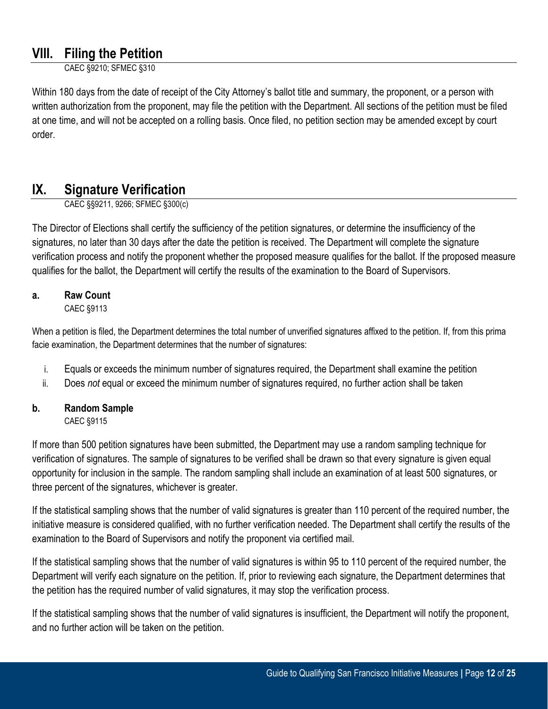# <span id="page-11-0"></span>**VIII. Filing the Petition**

CAEC §9210; SFMEC §310

Within 180 days from the date of receipt of the City Attorney's ballot title and summary, the proponent, or a person with written authorization from the proponent, may file the petition with the Department. All sections of the petition must be filed at one time, and will not be accepted on a rolling basis. Once filed, no petition section may be amended except by court order.

# <span id="page-11-1"></span>**IX. Signature Verification**

CAEC §§9211, 9266; SFMEC §300(c)

The Director of Elections shall certify the sufficiency of the petition signatures, or determine the insufficiency of the signatures, no later than 30 days after the date the petition is received. The Department will complete the signature verification process and notify the proponent whether the proposed measure qualifies for the ballot. If the proposed measure qualifies for the ballot, the Department will certify the results of the examination to the Board of Supervisors.

## <span id="page-11-2"></span>**a. Raw Count**

CAEC §9113

When a petition is filed, the Department determines the total number of unverified signatures affixed to the petition. If, from this prima facie examination, the Department determines that the number of signatures:

- i. Equals or exceeds the minimum number of signatures required, the Department shall examine the petition
- ii. Does *not* equal or exceed the minimum number of signatures required, no further action shall be taken

## <span id="page-11-3"></span>**b. Random Sample** CAEC §9115

If more than 500 petition signatures have been submitted, the Department may use a random sampling technique for verification of signatures. The sample of signatures to be verified shall be drawn so that every signature is given equal opportunity for inclusion in the sample. The random sampling shall include an examination of at least 500 signatures, or three percent of the signatures, whichever is greater.

If the statistical sampling shows that the number of valid signatures is greater than 110 percent of the required number, the initiative measure is considered qualified, with no further verification needed. The Department shall certify the results of the examination to the Board of Supervisors and notify the proponent via certified mail.

If the statistical sampling shows that the number of valid signatures is within 95 to 110 percent of the required number, the Department will verify each signature on the petition. If, prior to reviewing each signature, the Department determines that the petition has the required number of valid signatures, it may stop the verification process.

If the statistical sampling shows that the number of valid signatures is insufficient, the Department will notify the proponent, and no further action will be taken on the petition.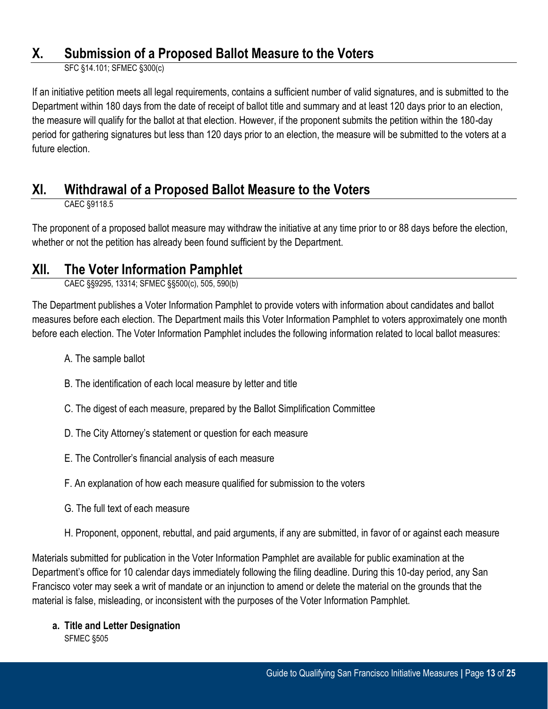# <span id="page-12-0"></span>**X. Submission of a Proposed Ballot Measure to the Voters**

SFC §14.101; SFMEC §300(c)

If an initiative petition meets all legal requirements, contains a sufficient number of valid signatures, and is submitted to the Department within 180 days from the date of receipt of ballot title and summary and at least 120 days prior to an election, the measure will qualify for the ballot at that election. However, if the proponent submits the petition within the 180-day period for gathering signatures but less than 120 days prior to an election, the measure will be submitted to the voters at a future election.

# <span id="page-12-1"></span>**XI. Withdrawal of a Proposed Ballot Measure to the Voters**

CAEC §9118.5

The proponent of a proposed ballot measure may withdraw the initiative at any time prior to or 88 days before the election, whether or not the petition has already been found sufficient by the Department.

# <span id="page-12-2"></span>**XII. The Voter Information Pamphlet**

CAEC §§9295, 13314; SFMEC §§500(c), 505, 590(b)

The Department publishes a Voter Information Pamphlet to provide voters with information about candidates and ballot measures before each election. The Department mails this Voter Information Pamphlet to voters approximately one month before each election. The Voter Information Pamphlet includes the following information related to local ballot measures:

A. The sample ballot

- B. The identification of each local measure by letter and title
- C. The digest of each measure, prepared by the Ballot Simplification Committee
- D. The City Attorney's statement or question for each measure
- E. The Controller's financial analysis of each measure
- F. An explanation of how each measure qualified for submission to the voters
- G. The full text of each measure
- H. Proponent, opponent, rebuttal, and paid arguments, if any are submitted, in favor of or against each measure

Materials submitted for publication in the Voter Information Pamphlet are available for public examination at the Department's office for 10 calendar days immediately following the filing deadline. During this 10-day period, any San Francisco voter may seek a writ of mandate or an injunction to amend or delete the material on the grounds that the material is false, misleading, or inconsistent with the purposes of the Voter Information Pamphlet.

## <span id="page-12-3"></span>**a. Title and Letter Designation** SFMEC §505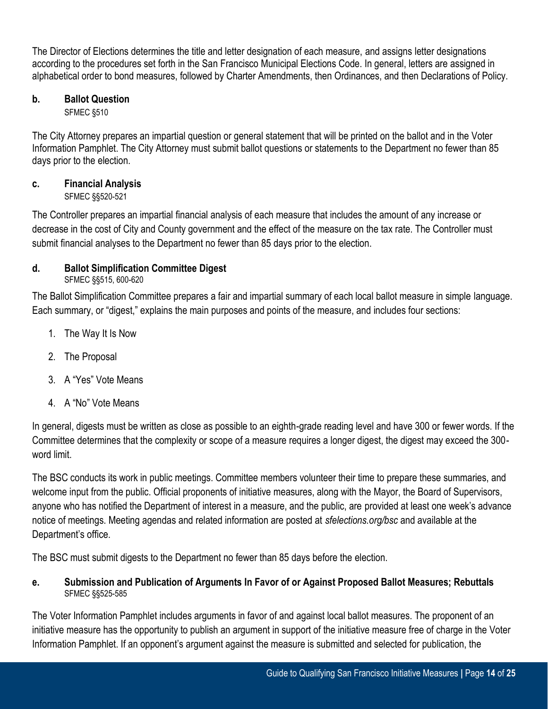The Director of Elections determines the title and letter designation of each measure, and assigns letter designations according to the procedures set forth in the San Francisco Municipal Elections Code. In general, letters are assigned in alphabetical order to bond measures, followed by Charter Amendments, then Ordinances, and then Declarations of Policy.

## <span id="page-13-0"></span>**b. Ballot Question**

SFMEC §510

The City Attorney prepares an impartial question or general statement that will be printed on the ballot and in the Voter Information Pamphlet. The City Attorney must submit ballot questions or statements to the Department no fewer than 85 days prior to the election.

## <span id="page-13-1"></span>**c. Financial Analysis**

SFMEC §§520-521

The Controller prepares an impartial financial analysis of each measure that includes the amount of any increase or decrease in the cost of City and County government and the effect of the measure on the tax rate. The Controller must submit financial analyses to the Department no fewer than 85 days prior to the election.

## <span id="page-13-2"></span>**d. Ballot Simplification Committee Digest** SFMEC §§515, 600-620

The Ballot Simplification Committee prepares a fair and impartial summary of each local ballot measure in simple language. Each summary, or "digest," explains the main purposes and points of the measure, and includes four sections:

- 1. The Way It Is Now
- 2. The Proposal
- 3. A "Yes" Vote Means
- 4. A "No" Vote Means

In general, digests must be written as close as possible to an eighth-grade reading level and have 300 or fewer words. If the Committee determines that the complexity or scope of a measure requires a longer digest, the digest may exceed the 300 word limit

The BSC conducts its work in public meetings. Committee members volunteer their time to prepare these summaries, and welcome input from the public. Official proponents of initiative measures, along with the Mayor, the Board of Supervisors, anyone who has notified the Department of interest in a measure, and the public, are provided at least one week's advance notice of meetings. Meeting agendas and related information are posted at *sfelections.org/bsc* and available at the Department's office.

The BSC must submit digests to the Department no fewer than 85 days before the election.

## <span id="page-13-3"></span>**e. Submission and Publication of Arguments In Favor of or Against Proposed Ballot Measures; Rebuttals** SFMEC §§525-585

The Voter Information Pamphlet includes arguments in favor of and against local ballot measures. The proponent of an initiative measure has the opportunity to publish an argument in support of the initiative measure free of charge in the Voter Information Pamphlet. If an opponent's argument against the measure is submitted and selected for publication, the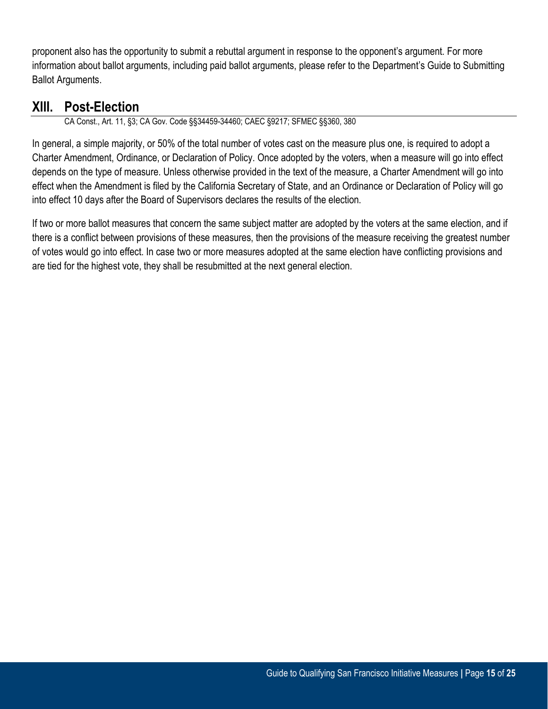proponent also has the opportunity to submit a rebuttal argument in response to the opponent's argument. For more information about ballot arguments, including paid ballot arguments, please refer to the Department's Guide to Submitting Ballot Arguments.

# <span id="page-14-0"></span>**XIII. Post-Election**

CA Const., Art. 11, §3; CA Gov. Code §§34459-34460; CAEC §9217; SFMEC §§360, 380

In general, a simple majority, or 50% of the total number of votes cast on the measure plus one, is required to adopt a Charter Amendment, Ordinance, or Declaration of Policy. Once adopted by the voters, when a measure will go into effect depends on the type of measure. Unless otherwise provided in the text of the measure, a Charter Amendment will go into effect when the Amendment is filed by the California Secretary of State, and an Ordinance or Declaration of Policy will go into effect 10 days after the Board of Supervisors declares the results of the election.

If two or more ballot measures that concern the same subject matter are adopted by the voters at the same election, and if there is a conflict between provisions of these measures, then the provisions of the measure receiving the greatest number of votes would go into effect. In case two or more measures adopted at the same election have conflicting provisions and are tied for the highest vote, they shall be resubmitted at the next general election.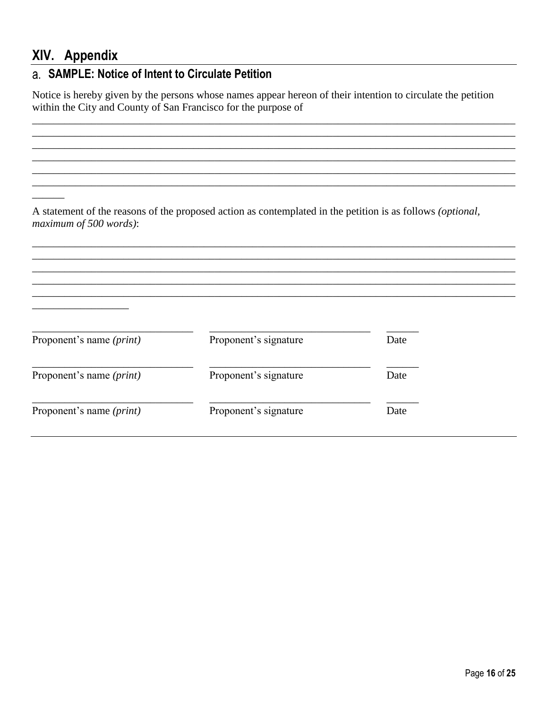# <span id="page-15-0"></span>XIV. Appendix

## <span id="page-15-1"></span>a. SAMPLE: Notice of Intent to Circulate Petition

Notice is hereby given by the persons whose names appear hereon of their intention to circulate the petition within the City and County of San Francisco for the purpose of

A statement of the reasons of the proposed action as contemplated in the petition is as follows (optional, maximum of 500 words): Proponent's signature Proponent's name (*print*) Date Proponent's signature Proponent's name (*print*) Date Proponent's signature Proponent's name (print) Date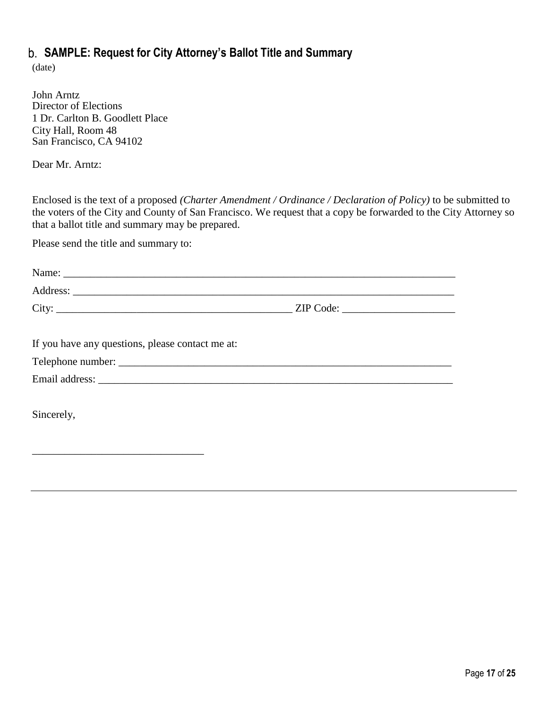## <span id="page-16-0"></span>**SAMPLE: Request for City Attorney's Ballot Title and Summary**

(date)

John Arntz Director of Elections 1 Dr. Carlton B. Goodlett Place City Hall, Room 48 San Francisco, CA 94102

Dear Mr. Arntz:

Enclosed is the text of a proposed *(Charter Amendment / Ordinance / Declaration of Policy)* to be submitted to the voters of the City and County of San Francisco. We request that a copy be forwarded to the City Attorney so that a ballot title and summary may be prepared.

Please send the title and summary to:

| If you have any questions, please contact me at: |  |
|--------------------------------------------------|--|
|                                                  |  |
|                                                  |  |
| Sincerely,                                       |  |
|                                                  |  |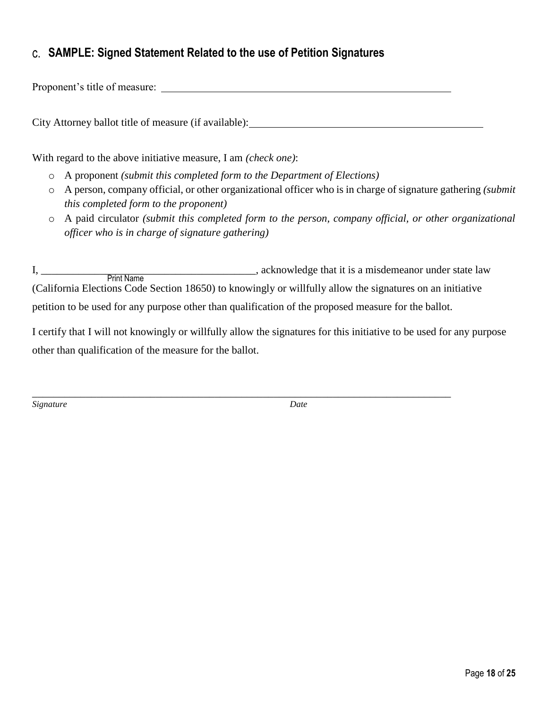## <span id="page-17-0"></span>**SAMPLE: Signed Statement Related to the use of Petition Signatures**

Proponent's title of measure:

City Attorney ballot title of measure (if available):

With regard to the above initiative measure, I am *(check one)*:

- o A proponent *(submit this completed form to the Department of Elections)*
- o A person, company official, or other organizational officer who is in charge of signature gathering *(submit this completed form to the proponent)*
- o A paid circulator *(submit this completed form to the person, company official, or other organizational officer who is in charge of signature gathering)*

I, \_\_\_\_\_\_\_\_\_\_\_\_\_\_\_\_\_\_\_\_\_\_\_\_\_\_\_\_\_\_\_\_\_\_\_\_\_\_\_\_, acknowledge that it is a misdemeanor under state law (California Elections Code Section 18650) to knowingly or willfully allow the signatures on an initiative petition to be used for any purpose other than qualification of the proposed measure for the ballot. Print Name

I certify that I will not knowingly or willfully allow the signatures for this initiative to be used for any purpose other than qualification of the measure for the ballot.

*Signature Date*

\_\_\_\_\_\_\_\_\_\_\_\_\_\_\_\_\_\_\_\_\_\_\_\_\_\_\_\_\_\_\_\_\_\_\_\_\_\_\_\_\_\_\_\_\_\_\_\_\_\_\_\_\_\_\_\_\_\_\_\_\_\_\_\_\_\_\_\_\_\_\_\_\_\_\_\_\_\_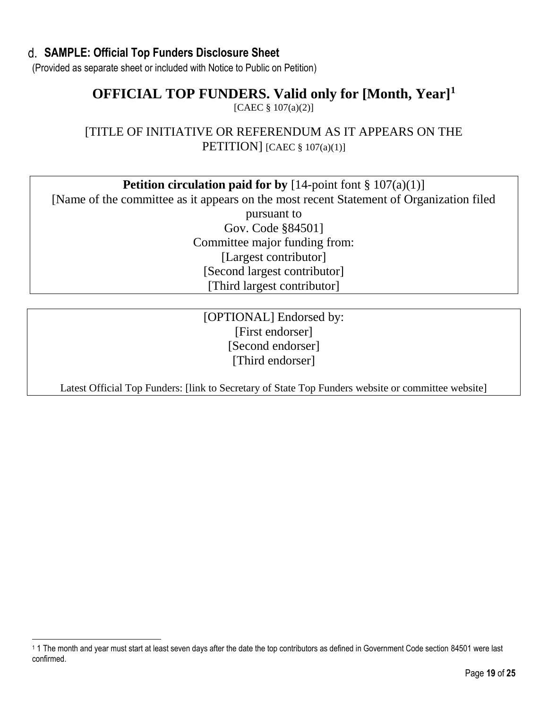## <span id="page-18-0"></span>**SAMPLE: Official Top Funders Disclosure Sheet**

l

(Provided as separate sheet or included with Notice to Public on Petition)

# **OFFICIAL TOP FUNDERS. Valid only for [Month, Year]<sup>1</sup>**

[CAEC § 107(a)(2)]

[TITLE OF INITIATIVE OR REFERENDUM AS IT APPEARS ON THE PETITION] [CAEC  $\S 107(a)(1)$ ]

## **Petition circulation paid for by** [14-point font § 107(a)(1)]

[Name of the committee as it appears on the most recent Statement of Organization filed pursuant to Gov. Code §84501] Committee major funding from: [Largest contributor] [Second largest contributor] [Third largest contributor]

> [OPTIONAL] Endorsed by: [First endorser] [Second endorser] [Third endorser]

Latest Official Top Funders: [link to Secretary of State Top Funders website or committee website]

<sup>1</sup> 1 The month and year must start at least seven days after the date the top contributors as defined in Government Code section 84501 were last confirmed.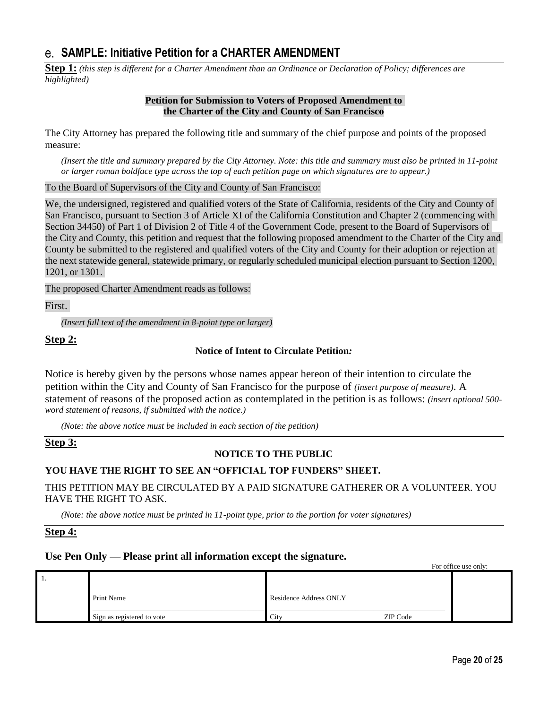## <span id="page-19-0"></span>**SAMPLE: Initiative Petition for a CHARTER AMENDMENT**

**Step 1:** *(this step is different for a Charter Amendment than an Ordinance or Declaration of Policy; differences are highlighted)*

#### **Petition for Submission to Voters of Proposed Amendment to the Charter of the City and County of San Francisco**

The City Attorney has prepared the following title and summary of the chief purpose and points of the proposed measure:

*(Insert the title and summary prepared by the City Attorney. Note: this title and summary must also be printed in 11-point or larger roman boldface type across the top of each petition page on which signatures are to appear.)*

To the Board of Supervisors of the City and County of San Francisco:

We, the undersigned, registered and qualified voters of the State of California, residents of the City and County of San Francisco, pursuant to Section 3 of Article XI of the California Constitution and Chapter 2 (commencing with Section 34450) of Part 1 of Division 2 of Title 4 of the Government Code, present to the Board of Supervisors of the City and County, this petition and request that the following proposed amendment to the Charter of the City and County be submitted to the registered and qualified voters of the City and County for their adoption or rejection at the next statewide general, statewide primary, or regularly scheduled municipal election pursuant to Section 1200, 1201, or 1301.

The proposed Charter Amendment reads as follows:

First.

*(Insert full text of the amendment in 8-point type or larger)*

**Step 2:**

#### **Notice of Intent to Circulate Petition***:*

Notice is hereby given by the persons whose names appear hereon of their intention to circulate the petition within the City and County of San Francisco for the purpose of *(insert purpose of measure)*. A statement of reasons of the proposed action as contemplated in the petition is as follows: *(insert optional 500 word statement of reasons, if submitted with the notice.)*

*(Note: the above notice must be included in each section of the petition)*

## **Step 3:**

## **NOTICE TO THE PUBLIC**

## **YOU HAVE THE RIGHT TO SEE AN "OFFICIAL TOP FUNDERS" SHEET.**

THIS PETITION MAY BE CIRCULATED BY A PAID SIGNATURE GATHERER OR A VOLUNTEER. YOU HAVE THE RIGHT TO ASK.

*(Note: the above notice must be printed in 11-point type, prior to the portion for voter signatures)*

#### **Step 4:**

#### **Use Pen Only — Please print all information except the signature.**

|                            |      | o                      |          | For office use only: |
|----------------------------|------|------------------------|----------|----------------------|
|                            |      |                        |          |                      |
|                            |      | Residence Address ONLY |          |                      |
| Print Name                 |      |                        |          |                      |
| Sign as registered to vote | City |                        | ZIP Code |                      |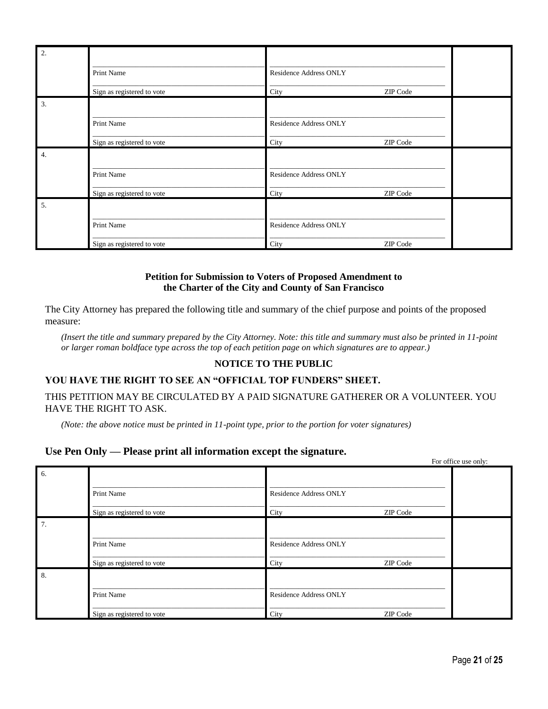| 2. | Print Name                 | Residence Address ONLY        |  |
|----|----------------------------|-------------------------------|--|
|    | Sign as registered to vote | ZIP Code<br>City              |  |
| 3. |                            |                               |  |
|    | Print Name                 | <b>Residence Address ONLY</b> |  |
|    | Sign as registered to vote | ZIP Code<br>City              |  |
| 4. |                            |                               |  |
|    | Print Name                 | <b>Residence Address ONLY</b> |  |
|    | Sign as registered to vote | City<br>ZIP Code              |  |
| 5. |                            |                               |  |
|    | Print Name                 | <b>Residence Address ONLY</b> |  |
|    | Sign as registered to vote | City<br>ZIP Code              |  |

#### **Petition for Submission to Voters of Proposed Amendment to the Charter of the City and County of San Francisco**

The City Attorney has prepared the following title and summary of the chief purpose and points of the proposed measure:

*(Insert the title and summary prepared by the City Attorney. Note: this title and summary must also be printed in 11-point or larger roman boldface type across the top of each petition page on which signatures are to appear.)*

#### **NOTICE TO THE PUBLIC**

#### **YOU HAVE THE RIGHT TO SEE AN "OFFICIAL TOP FUNDERS" SHEET.**

THIS PETITION MAY BE CIRCULATED BY A PAID SIGNATURE GATHERER OR A VOLUNTEER. YOU HAVE THE RIGHT TO ASK.

*(Note: the above notice must be printed in 11-point type, prior to the portion for voter signatures)*

#### **Use Pen Only — Please print all information except the signature.**

|    | ັ<br>л.                    | л.<br>o                | For office use only: |
|----|----------------------------|------------------------|----------------------|
| 6. |                            |                        |                      |
|    | <b>Print Name</b>          | Residence Address ONLY |                      |
|    | Sign as registered to vote | ZIP Code<br>City       |                      |
| 7. |                            |                        |                      |
|    | Print Name                 | Residence Address ONLY |                      |
|    | Sign as registered to vote | ZIP Code<br>City       |                      |
| 8. |                            |                        |                      |
|    | Print Name                 | Residence Address ONLY |                      |
|    | Sign as registered to vote | ZIP Code<br>City       |                      |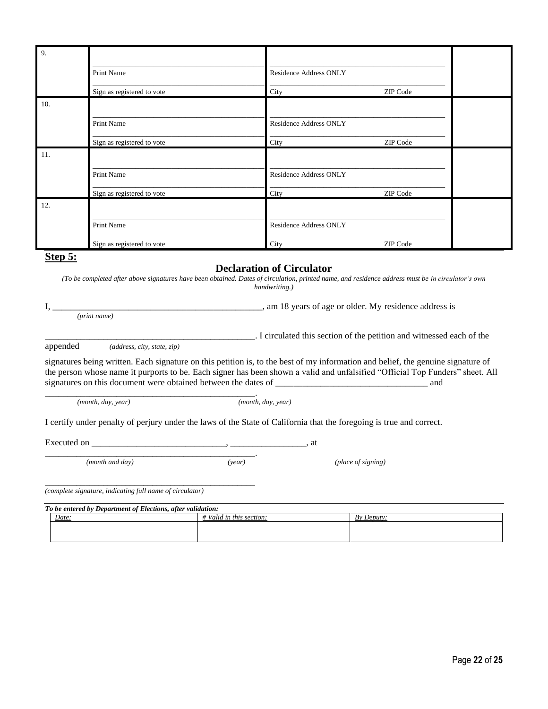| 9.      |                            |                               |          |  |
|---------|----------------------------|-------------------------------|----------|--|
|         | Print Name                 | <b>Residence Address ONLY</b> |          |  |
|         | Sign as registered to vote | City                          | ZIP Code |  |
| 10.     |                            |                               |          |  |
|         | Print Name                 | <b>Residence Address ONLY</b> |          |  |
|         | Sign as registered to vote | City                          | ZIP Code |  |
| 11.     |                            |                               |          |  |
|         | Print Name                 | Residence Address ONLY        |          |  |
|         | Sign as registered to vote | City                          | ZIP Code |  |
| 12.     |                            |                               |          |  |
|         | Print Name                 | Residence Address ONLY        |          |  |
|         | Sign as registered to vote | City                          | ZIP Code |  |
| Step 5: |                            |                               |          |  |

#### **Declaration of Circulator**

*(To be completed after above signatures have been obtained. Dates of circulation, printed name, and residence address must be in circulator's own handwriting.)*

*(print name)*

I, \_\_\_\_\_\_\_\_\_\_\_\_\_\_\_\_\_\_\_\_\_\_\_\_\_\_\_\_\_\_\_\_\_\_\_\_\_\_\_\_\_\_\_\_\_\_\_, am 18 years of age or older. My residence address is

\_\_\_\_\_\_\_\_\_\_\_\_\_\_\_\_\_\_\_\_\_\_\_\_\_\_\_\_\_\_\_\_\_\_\_\_\_\_\_\_\_\_\_\_\_\_\_. I circulated this section of the petition and witnessed each of the

appended *(address, city, state, zip)*

signatures being written. Each signature on this petition is, to the best of my information and belief, the genuine signature of the person whose name it purports to be. Each signer has been shown a valid and unfalsified "Official Top Funders" sheet. All signatures on this document were obtained between the dates of \_\_\_\_\_\_\_\_\_\_\_\_\_\_\_\_\_\_\_\_\_\_\_\_\_\_\_\_\_\_\_\_\_\_ and

\_\_\_\_\_\_\_\_\_\_\_\_\_\_\_\_\_\_\_\_\_\_\_\_\_\_\_\_\_\_\_\_\_\_\_\_\_\_\_\_\_\_\_\_\_\_\_. *(month, day, year) (month, day, year)*

I certify under penalty of perjury under the laws of the State of California that the foregoing is true and correct.

Executed on \_\_\_\_\_\_\_\_\_\_\_\_\_\_\_\_\_\_\_\_\_\_\_\_\_\_\_\_\_\_, \_\_\_\_\_\_\_\_\_\_\_\_\_\_\_\_\_, at

\_\_\_\_\_\_\_\_\_\_\_\_\_\_\_\_\_\_\_\_\_\_\_\_\_\_\_\_\_\_\_\_\_\_\_\_\_\_\_\_\_\_\_\_\_\_\_.

 *(month and day) (year) (place of signing)*

*(complete signature, indicating full name of circulator)*

*To be entered by Department of Elections, after validation:*

\_\_\_\_\_\_\_\_\_\_\_\_\_\_\_\_\_\_\_\_\_\_\_\_\_\_\_\_\_\_\_\_\_\_\_\_\_\_\_\_\_\_\_\_\_\_\_

| Date: | $\cdot$<br>$\cdots$<br>Valid<br>ln<br>section:<br>this | Rv.<br>Deputy: |
|-------|--------------------------------------------------------|----------------|
|       |                                                        |                |
|       |                                                        |                |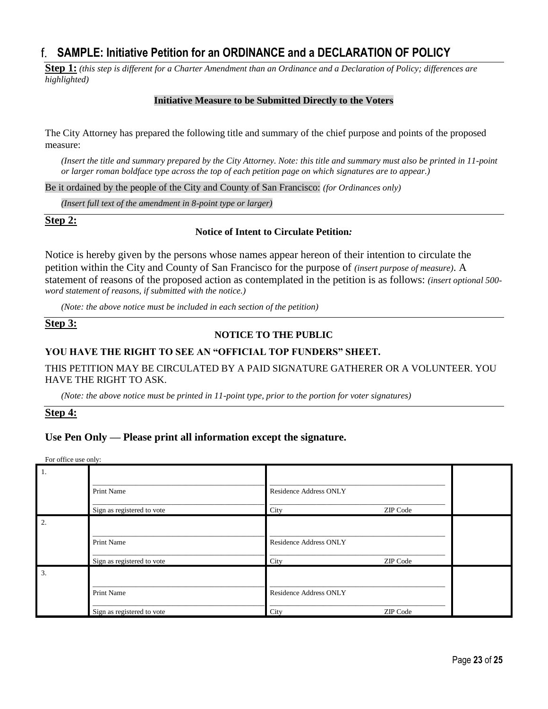## <span id="page-22-0"></span>**SAMPLE: Initiative Petition for an ORDINANCE and a DECLARATION OF POLICY**

**Step 1:** *(this step is different for a Charter Amendment than an Ordinance and a Declaration of Policy; differences are highlighted)*

#### **Initiative Measure to be Submitted Directly to the Voters**

The City Attorney has prepared the following title and summary of the chief purpose and points of the proposed measure:

*(Insert the title and summary prepared by the City Attorney. Note: this title and summary must also be printed in 11-point or larger roman boldface type across the top of each petition page on which signatures are to appear.)*

Be it ordained by the people of the City and County of San Francisco: *(for Ordinances only)*

*(Insert full text of the amendment in 8-point type or larger)*

**Step 2:**

#### **Notice of Intent to Circulate Petition***:*

Notice is hereby given by the persons whose names appear hereon of their intention to circulate the petition within the City and County of San Francisco for the purpose of *(insert purpose of measure)*. A statement of reasons of the proposed action as contemplated in the petition is as follows: *(insert optional 500 word statement of reasons, if submitted with the notice.)*

*(Note: the above notice must be included in each section of the petition)*

**Step 3:**

## **NOTICE TO THE PUBLIC**

## **YOU HAVE THE RIGHT TO SEE AN "OFFICIAL TOP FUNDERS" SHEET.**

THIS PETITION MAY BE CIRCULATED BY A PAID SIGNATURE GATHERER OR A VOLUNTEER. YOU HAVE THE RIGHT TO ASK.

*(Note: the above notice must be printed in 11-point type, prior to the portion for voter signatures)*

#### **Step 4:**

#### **Use Pen Only — Please print all information except the signature.**

For office use only:

| 1. |                            |                        |          |  |
|----|----------------------------|------------------------|----------|--|
|    | Print Name                 | Residence Address ONLY |          |  |
|    | Sign as registered to vote | City                   | ZIP Code |  |
| 2. |                            |                        |          |  |
|    | Print Name                 | Residence Address ONLY |          |  |
|    | Sign as registered to vote | City                   | ZIP Code |  |
| 3. |                            |                        |          |  |
|    | Print Name                 | Residence Address ONLY |          |  |
|    | Sign as registered to vote | City                   | ZIP Code |  |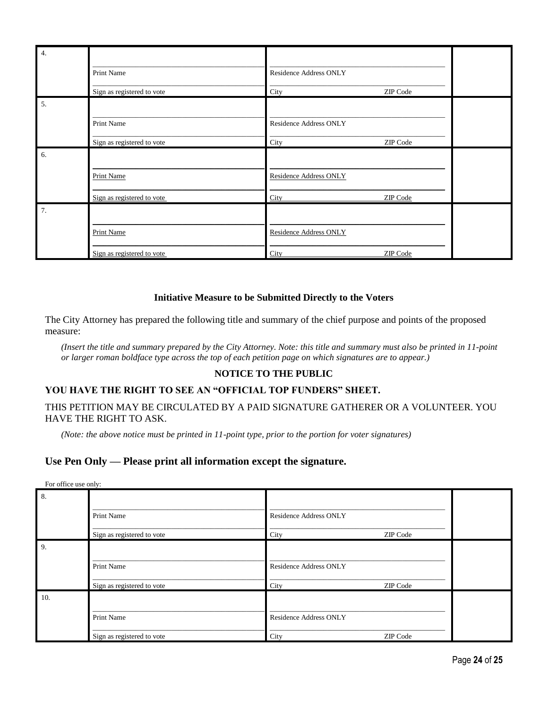| 4. |                            |                         |  |
|----|----------------------------|-------------------------|--|
|    | Print Name                 | Residence Address ONLY  |  |
|    | Sign as registered to vote | City<br>ZIP Code        |  |
| 5. |                            |                         |  |
|    | Print Name                 | Residence Address ONLY  |  |
|    | Sign as registered to vote | City<br>ZIP Code        |  |
| 6. |                            |                         |  |
|    | <b>Print Name</b>          | Residence Address ONLY  |  |
|    | Sign as registered to vote | <b>City</b><br>ZIP Code |  |
| 7. |                            |                         |  |
|    | <b>Print Name</b>          | Residence Address ONLY  |  |
|    | Sign as registered to vote | City<br>ZIP Code        |  |

#### **Initiative Measure to be Submitted Directly to the Voters**

The City Attorney has prepared the following title and summary of the chief purpose and points of the proposed measure:

*(Insert the title and summary prepared by the City Attorney. Note: this title and summary must also be printed in 11-point or larger roman boldface type across the top of each petition page on which signatures are to appear.)*

## **NOTICE TO THE PUBLIC**

#### **YOU HAVE THE RIGHT TO SEE AN "OFFICIAL TOP FUNDERS" SHEET.**

THIS PETITION MAY BE CIRCULATED BY A PAID SIGNATURE GATHERER OR A VOLUNTEER. YOU HAVE THE RIGHT TO ASK.

*(Note: the above notice must be printed in 11-point type, prior to the portion for voter signatures)*

#### **Use Pen Only — Please print all information except the signature.**

| For office use only: |                            |                               |          |  |
|----------------------|----------------------------|-------------------------------|----------|--|
| 8.                   |                            |                               |          |  |
|                      | Print Name                 | <b>Residence Address ONLY</b> |          |  |
|                      | Sign as registered to vote | City                          | ZIP Code |  |
| 9.                   |                            |                               |          |  |
|                      | Print Name                 | <b>Residence Address ONLY</b> |          |  |
|                      | Sign as registered to vote | City                          | ZIP Code |  |
| 10.                  |                            |                               |          |  |
|                      | Print Name                 | Residence Address ONLY        |          |  |
|                      | Sign as registered to vote | City                          | ZIP Code |  |